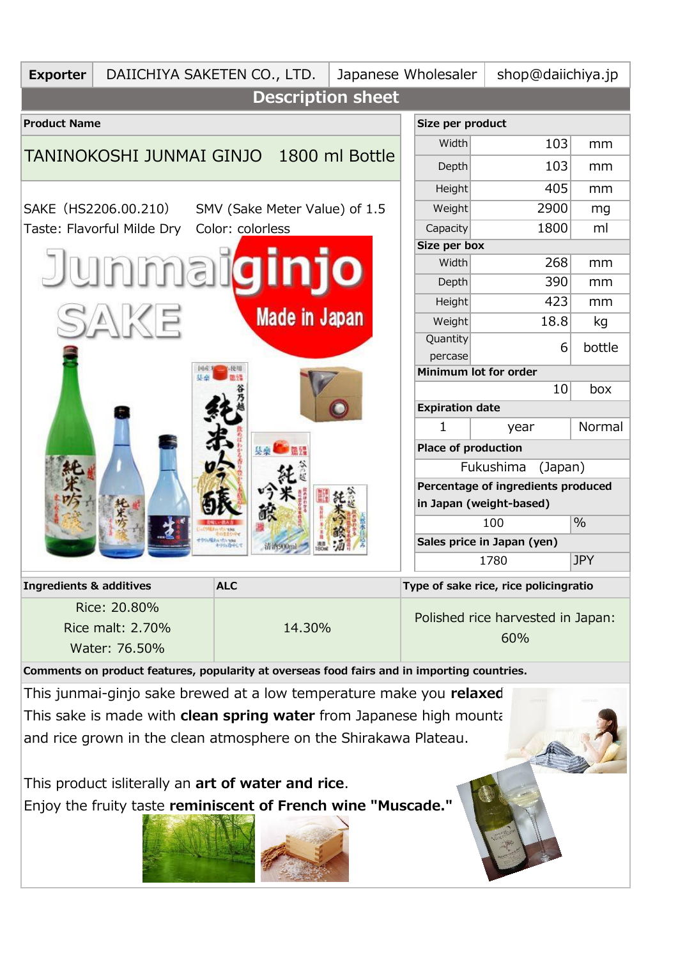